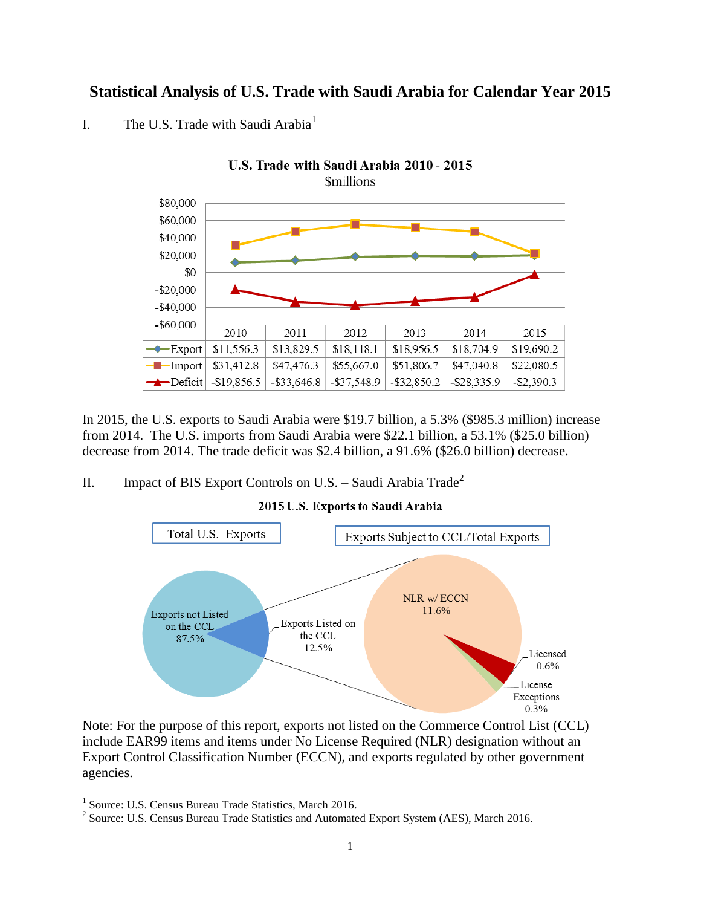## **Statistical Analysis of U.S. Trade with Saudi Arabia for Calendar Year 2015**

## I. The U.S. Trade with Saudi Arabia<sup>1</sup>



In 2015, the U.S. exports to Saudi Arabia were \$19.7 billion, a 5.3% (\$985.3 million) increase from 2014. The U.S. imports from Saudi Arabia were \$22.1 billion, a 53.1% (\$25.0 billion) decrease from 2014. The trade deficit was \$2.4 billion, a 91.6% (\$26.0 billion) decrease.

## II. Impact of BIS Export Controls on U.S. – Saudi Arabia Trade<sup>2</sup>



#### 2015 U.S. Exports to Saudi Arabia

Note: For the purpose of this report, exports not listed on the Commerce Control List (CCL) include EAR99 items and items under No License Required (NLR) designation without an Export Control Classification Number (ECCN), and exports regulated by other government agencies.

 1 Source: U.S. Census Bureau Trade Statistics, March 2016.

<sup>&</sup>lt;sup>2</sup> Source: U.S. Census Bureau Trade Statistics and Automated Export System (AES), March 2016.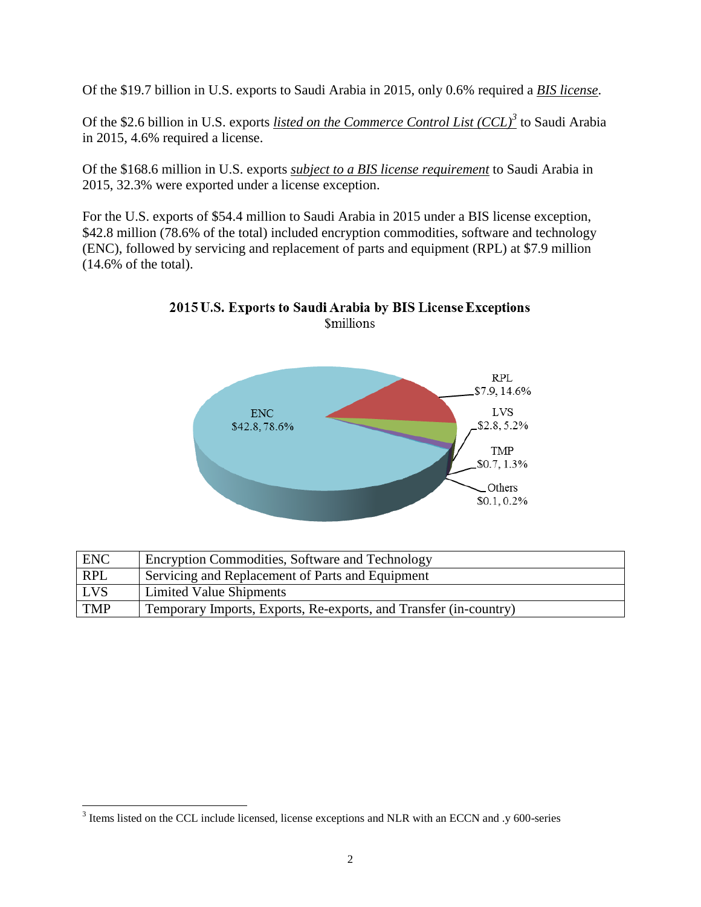Of the \$19.7 billion in U.S. exports to Saudi Arabia in 2015, only 0.6% required a *BIS license*.

Of the \$2.6 billion in U.S. exports *listed on the Commerce Control List (CCL)<sup>3</sup>* to Saudi Arabia in 2015, 4.6% required a license.

Of the \$168.6 million in U.S. exports *subject to a BIS license requirement* to Saudi Arabia in 2015, 32.3% were exported under a license exception.

For the U.S. exports of \$54.4 million to Saudi Arabia in 2015 under a BIS license exception, \$42.8 million (78.6% of the total) included encryption commodities, software and technology (ENC), followed by servicing and replacement of parts and equipment (RPL) at \$7.9 million (14.6% of the total).



## 2015 U.S. Exports to Saudi Arabia by BIS License Exceptions **Smillions**

| <b>ENC</b> | <b>Encryption Commodities, Software and Technology</b>            |
|------------|-------------------------------------------------------------------|
| <b>RPL</b> | Servicing and Replacement of Parts and Equipment                  |
| <b>LVS</b> | Limited Value Shipments                                           |
| <b>TMP</b> | Temporary Imports, Exports, Re-exports, and Transfer (in-country) |

l

 $3$  Items listed on the CCL include licensed, license exceptions and NLR with an ECCN and .y 600-series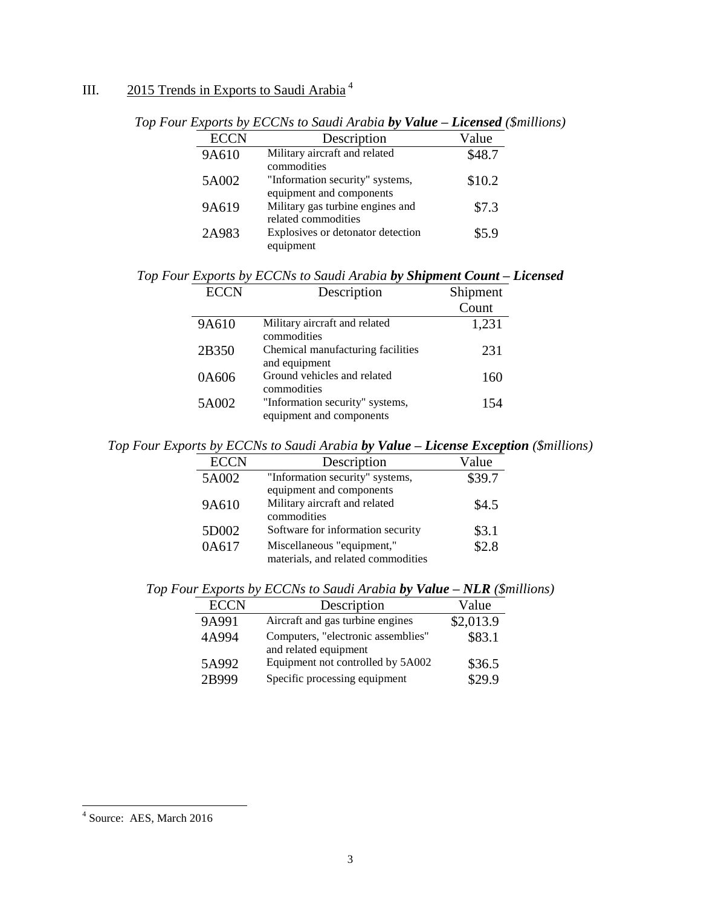# III. 2015 Trends in Exports to Saudi Arabia<sup>4</sup>

| <b>ECCN</b> | Description                                                 | Value  |
|-------------|-------------------------------------------------------------|--------|
| 9A610       | Military aircraft and related<br>commodities                | \$48.7 |
| 5A002       | "Information security" systems,<br>equipment and components | \$10.2 |
| 9A619       | Military gas turbine engines and<br>related commodities     | \$7.3  |
| 2A983       | Explosives or detonator detection<br>equipment              | \$5.9  |

*Top Four Exports by ECCNs to Saudi Arabia by Value – Licensed (\$millions)*

|  |  |  |  |  | Top Four Exports by ECCNs to Saudi Arabia by Shipment Count - Licensed |
|--|--|--|--|--|------------------------------------------------------------------------|
|  |  |  |  |  |                                                                        |

| <b>ECCN</b> | Description                                                 | Shipment |
|-------------|-------------------------------------------------------------|----------|
|             |                                                             | Count    |
| 9A610       | Military aircraft and related<br>commodities                | 1,231    |
| 2B350       | Chemical manufacturing facilities<br>and equipment          | 231      |
| 0A606       | Ground vehicles and related<br>commodities                  | 160      |
| 5A002       | "Information security" systems,<br>equipment and components | 154      |

*Top Four Exports by ECCNs to Saudi Arabia by Value – License Exception (\$millions)*

| <b>ECCN</b> | Description                        | Value  |
|-------------|------------------------------------|--------|
| 5A002       | "Information security" systems,    | \$39.7 |
|             | equipment and components           |        |
| 9A610       | Military aircraft and related      | \$4.5  |
|             | commodities                        |        |
| 5D002       | Software for information security  | \$3.1  |
| 0A617       | Miscellaneous "equipment,"         | \$2.8  |
|             | materials, and related commodities |        |

| Top Four Exports by ECCNs to Saudi Arabia by Value $-NLR$ (\$millions) |
|------------------------------------------------------------------------|
|------------------------------------------------------------------------|

| <b>ECCN</b> | Description                                                 | Value     |
|-------------|-------------------------------------------------------------|-----------|
| 9A991       | Aircraft and gas turbine engines                            | \$2,013.9 |
| 4A994       | Computers, "electronic assemblies"<br>and related equipment | \$83.1    |
| 5A992       | Equipment not controlled by 5A002                           | \$36.5    |
| 2B999       | Specific processing equipment                               | 29.9      |

 4 Source: AES, March 2016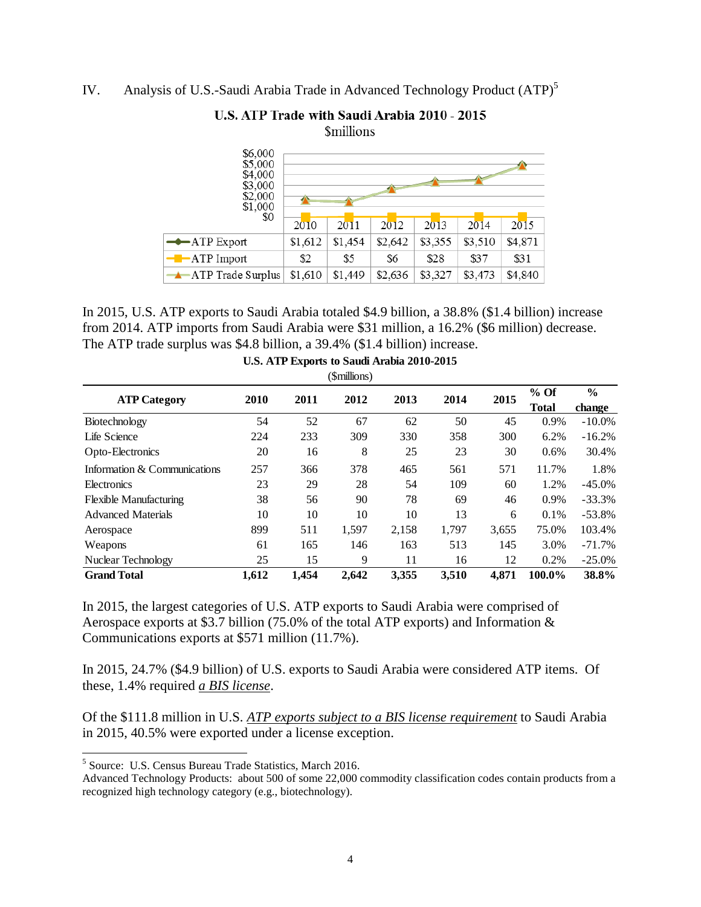IV. Analysis of U.S.-Saudi Arabia Trade in Advanced Technology Product (ATP)<sup>5</sup>

| \$6,000<br>\$5,000<br>\$4,000<br>\$3,000<br>\$2,000<br>\$1,000 |         |         |         |         |         |         |  |  |  |
|----------------------------------------------------------------|---------|---------|---------|---------|---------|---------|--|--|--|
| \$0                                                            |         |         |         |         |         |         |  |  |  |
|                                                                | 2010    | 2011    | 2012    | 2013    | 2014    | 2015    |  |  |  |
| $\rightarrow$ ATP Export                                       | \$1,612 | \$1,454 | \$2,642 | \$3,355 | \$3,510 | \$4,871 |  |  |  |
| $ -$ ATP Import                                                | \$2     | \$5     | \$6     | \$28    | \$37    | \$31    |  |  |  |
| ATP Trade Surplus                                              | \$1,610 | \$1,449 | \$2,636 | \$3,327 | \$3,473 | \$4,840 |  |  |  |

### U.S. ATP Trade with Saudi Arabia 2010 - 2015 **Smillions**

In 2015, U.S. ATP exports to Saudi Arabia totaled \$4.9 billion, a 38.8% (\$1.4 billion) increase from 2014. ATP imports from Saudi Arabia were \$31 million, a 16.2% (\$6 million) decrease. The ATP trade surplus was \$4.8 billion, a 39.4% (\$1.4 billion) increase.

| (\$millions)                  |       |       |       |       |       |       |                        |                         |  |
|-------------------------------|-------|-------|-------|-------|-------|-------|------------------------|-------------------------|--|
| <b>ATP Category</b>           | 2010  | 2011  | 2012  | 2013  | 2014  | 2015  | $%$ Of<br><b>Total</b> | $\frac{6}{6}$<br>change |  |
| Biotechnology                 | 54    | 52    | 67    | 62    | 50    | 45    | 0.9%                   | $-10.0\%$               |  |
| Life Science                  | 224   | 233   | 309   | 330   | 358   | 300   | 6.2%                   | $-16.2%$                |  |
| Opto-Electronics              | 20    | 16    | 8     | 25    | 23    | 30    | 0.6%                   | 30.4%                   |  |
| Information & Communications  | 257   | 366   | 378   | 465   | 561   | 571   | 11.7%                  | 1.8%                    |  |
| Electronics                   | 23    | 29    | 28    | 54    | 109   | 60    | 1.2%                   | $-45.0\%$               |  |
| <b>Flexible Manufacturing</b> | 38    | 56    | 90    | 78    | 69    | 46    | $0.9\%$                | $-33.3%$                |  |
| <b>Advanced Materials</b>     | 10    | 10    | 10    | 10    | 13    | 6     | 0.1%                   | $-53.8%$                |  |
| Aerospace                     | 899   | 511   | 1,597 | 2,158 | 1,797 | 3,655 | 75.0%                  | 103.4%                  |  |
| Weapons                       | 61    | 165   | 146   | 163   | 513   | 145   | 3.0%                   | $-71.7%$                |  |
| Nuclear Technology            | 25    | 15    | 9     | 11    | 16    | 12    | 0.2%                   | $-25.0%$                |  |
| <b>Grand Total</b>            | 1,612 | 1,454 | 2,642 | 3,355 | 3,510 | 4.871 | 100.0%                 | 38.8%                   |  |

**U.S. ATP Exports to Saudi Arabia 2010-2015** 

In 2015, the largest categories of U.S. ATP exports to Saudi Arabia were comprised of Aerospace exports at \$3.7 billion (75.0% of the total ATP exports) and Information & Communications exports at \$571 million (11.7%).

In 2015, 24.7% (\$4.9 billion) of U.S. exports to Saudi Arabia were considered ATP items. Of these, 1.4% required *a BIS license*.

Of the \$111.8 million in U.S. *ATP exports subject to a BIS license requirement* to Saudi Arabia in 2015, 40.5% were exported under a license exception.

 5 Source: U.S. Census Bureau Trade Statistics, March 2016.

Advanced Technology Products: about 500 of some 22,000 commodity classification codes contain products from a recognized high technology category (e.g., biotechnology).